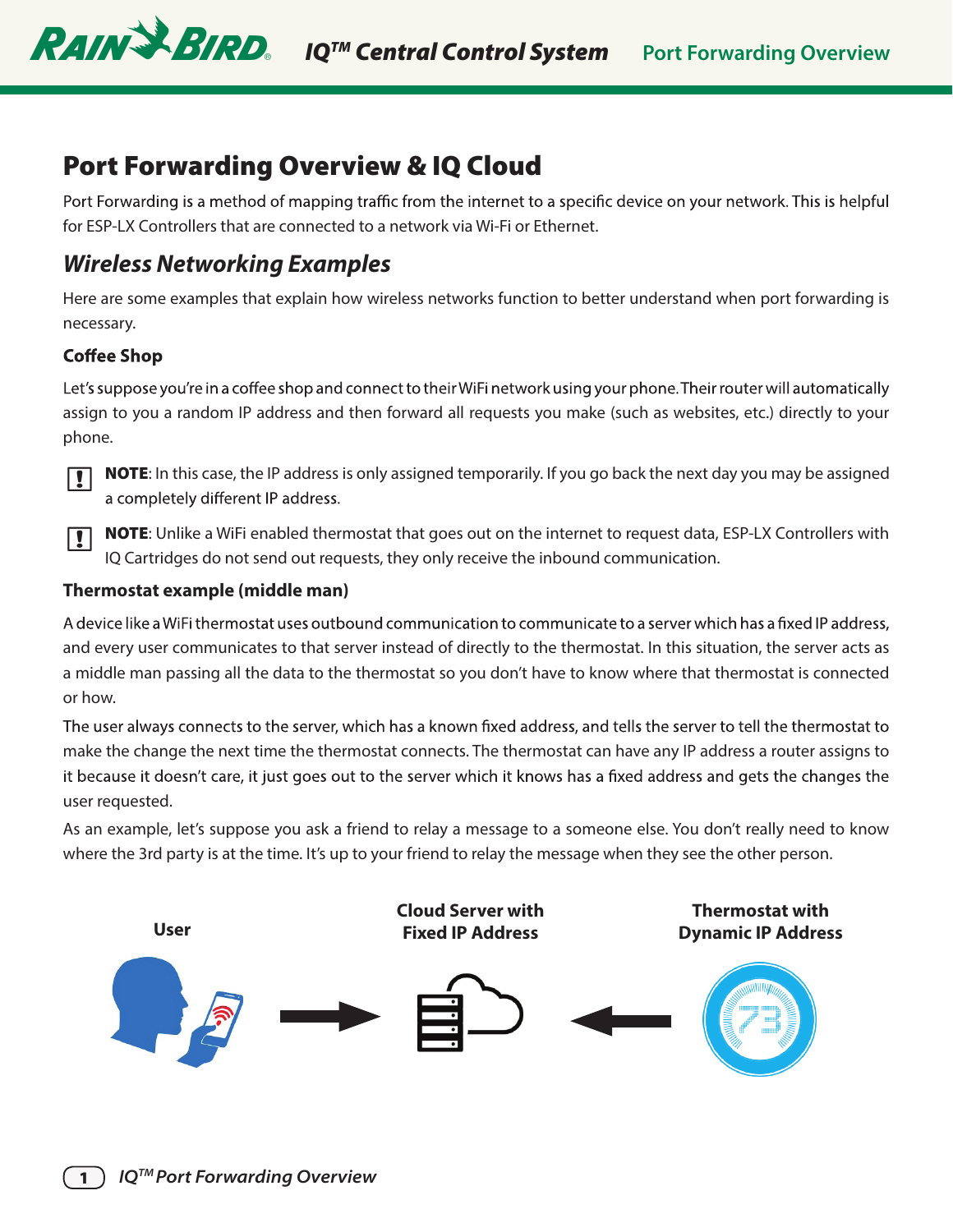

# Port Forwarding Overview & IQ Cloud

Port Forwarding is a method of mapping traffic from the internet to a specific device on your network. This is helpful for ESP-LX Controllers that are connected to a network via Wi-Fi or Ethernet.

## *Wireless Networking Examples*

Here are some examples that explain how wireless networks function to better understand when port forwarding is necessary.

## **Coffee Shop**

Let's suppose you're in a coffee shop and connect to their WiFi network using your phone. Their router will automatically assign to you a random IP address and then forward all requests you make (such as websites, etc.) directly to your phone.



**NOTE:** In this case, the IP address is only assigned temporarily. If you go back the next day you may be assigned a completely different IP address.

**NOTE:** Unlike a WiFi enabled thermostat that goes out on the internet to request data, ESP-LX Controllers with IQ Cartridges do not send out requests, they only receive the inbound communication.

## **Thermostat example (middle man)**

A device like a WiFi thermostat uses outbound communication to communicate to a server which has a fixed IP address, and every user communicates to that server instead of directly to the thermostat. In this situation, the server acts as a middle man passing all the data to the thermostat so you don't have to know where that thermostat is connected or how.

The user always connects to the server, which has a known fixed address, and tells the server to tell the thermostat to make the change the next time the thermostat connects. The thermostat can have any IP address a router assigns to it because it doesn't care, it just goes out to the server which it knows has a fixed address and gets the changes the user requested.

As an example, let's suppose you ask a friend to relay a message to a someone else. You don't really need to know where the 3rd party is at the time. It's up to your friend to relay the message when they see the other person.

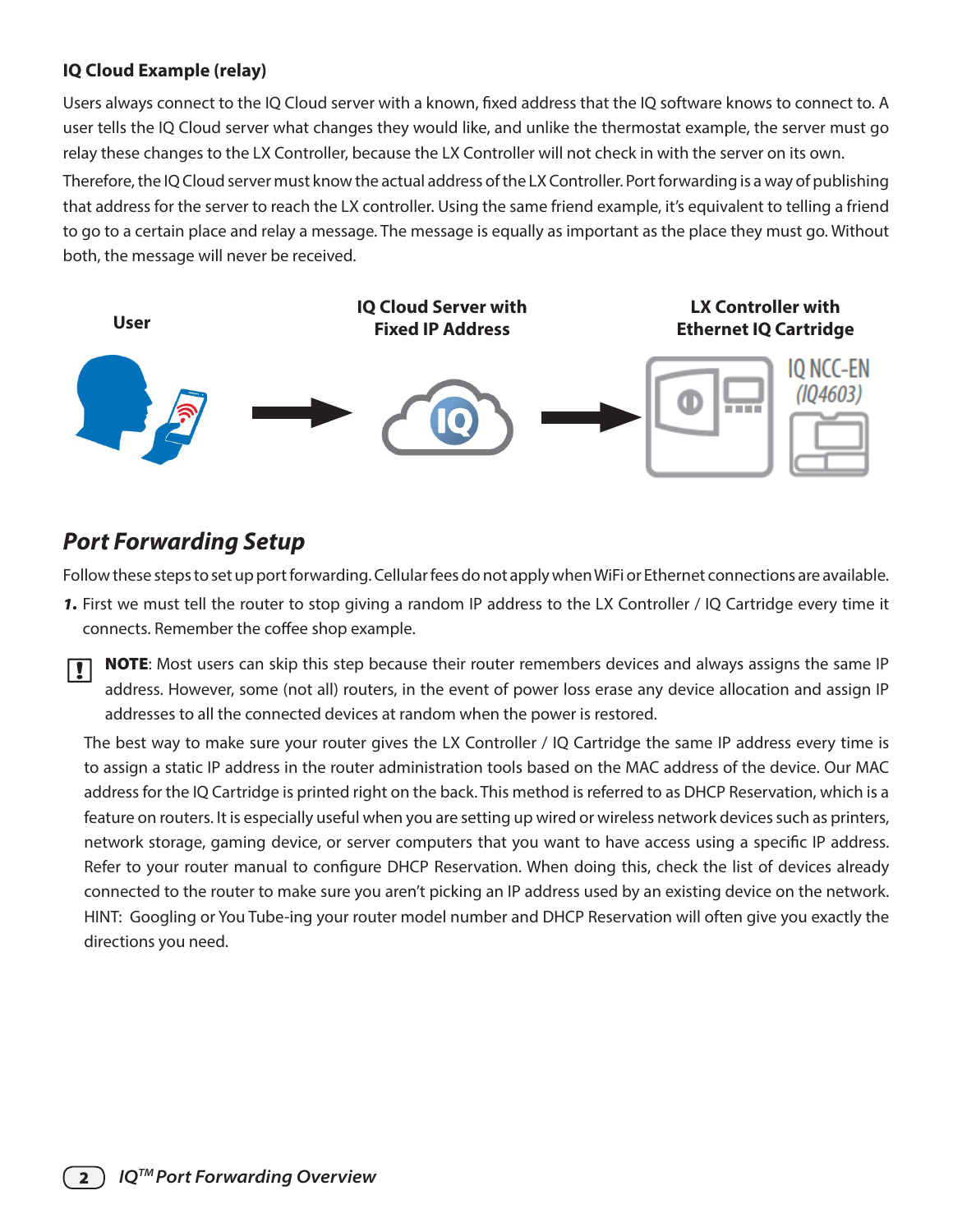## **IQ Cloud Example (relay)**

Users always connect to the IQ Cloud server with a known, fixed address that the IQ software knows to connect to. A user tells the IQ Cloud server what changes they would like, and unlike the thermostat example, the server must go relay these changes to the LX Controller, because the LX Controller will not check in with the server on its own.

Therefore, the IQ Cloud server must know the actual address of the LX Controller. Port forwarding is a way of publishing that address for the server to reach the LX controller. Using the same friend example, it's equivalent to telling a friend to go to a certain place and relay a message. The message is equally as important as the place they must go. Without both, the message will never be received.



# *Port Forwarding Setup*

Follow these steps to set up port forwarding. Cellular fees do not apply when WiFi or Ethernet connections are available.

- *1.* First we must tell the router to stop giving a random IP address to the LX Controller / IQ Cartridge every time it connects. Remember the coffee shop example.
- **NOTE:** Most users can skip this step because their router remembers devices and always assigns the same IP address. However, some (not all) routers, in the event of power loss erase any device allocation and assign IP addresses to all the connected devices at random when the power is restored.

The best way to make sure your router gives the LX Controller / IQ Cartridge the same IP address every time is to assign a static IP address in the router administration tools based on the MAC address of the device. Our MAC address for the IQ Cartridge is printed right on the back. This method is referred to as DHCP Reservation, which is a feature on routers. It is especially useful when you are setting up wired or wireless network devices such as printers, network storage, gaming device, or server computers that you want to have access using a specific IP address. Refer to your router manual to configure DHCP Reservation. When doing this, check the list of devices already connected to the router to make sure you aren't picking an IP address used by an existing device on the network. HINT: Googling or You Tube-ing your router model number and DHCP Reservation will often give you exactly the directions you need.

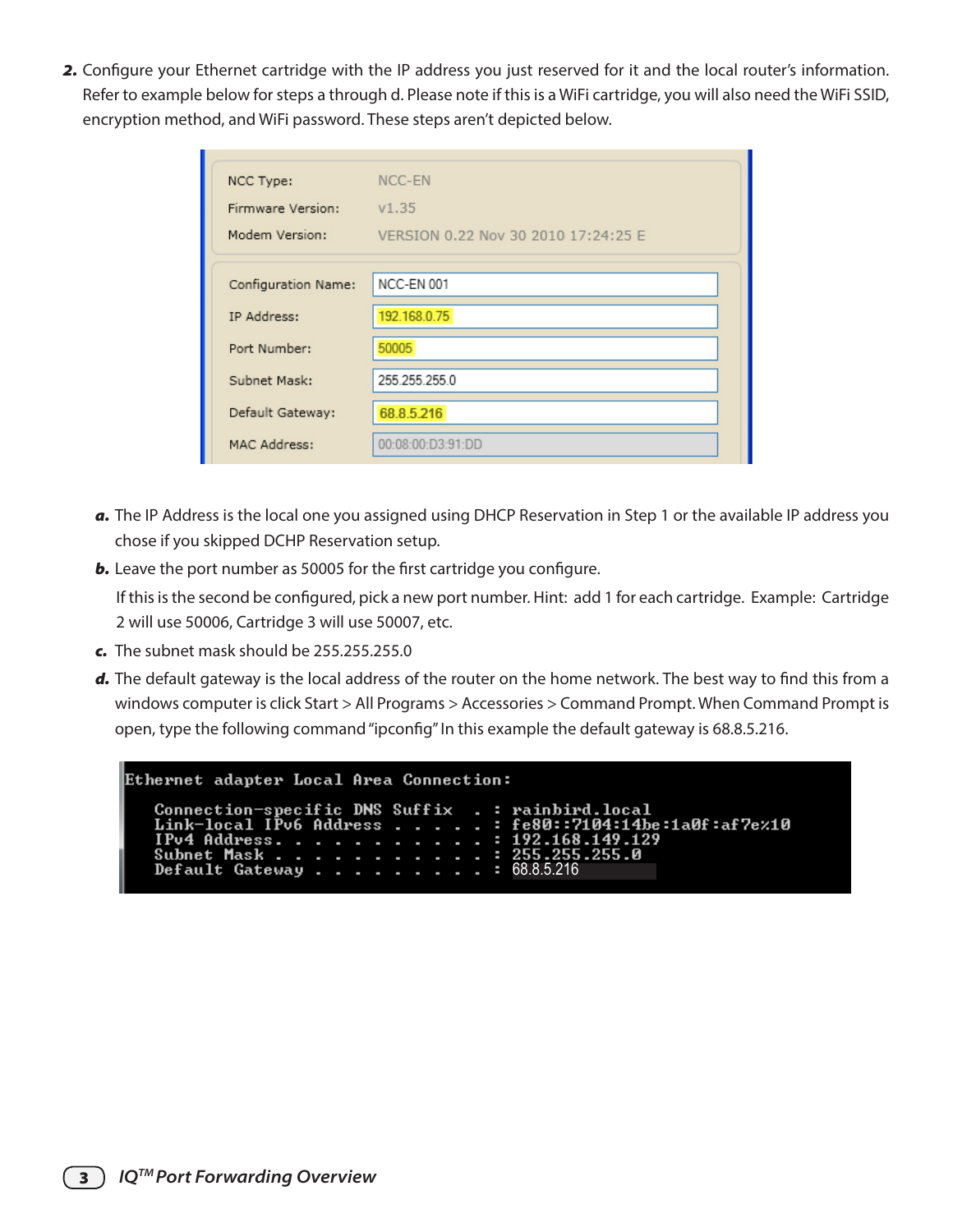*2.* Configure your Ethernet cartridge with the IP address you just reserved for it and the local router's information. Refer to example below for steps a through d. Please note if this is a WiFi cartridge, you will also need the WiFi SSID, encryption method, and WiFi password. These steps aren't depicted below.

| NCC Type:<br>Firmware Version:<br>Modem Version: | NCC-EN<br>V1.35<br>VERSION 0.22 Nov 30 2010 17:24:25 E |  |  |
|--------------------------------------------------|--------------------------------------------------------|--|--|
| Configuration Name:                              | NCC-EN 001                                             |  |  |
| IP Address:                                      | 192.168.0.75                                           |  |  |
| Port Number:                                     | 50005                                                  |  |  |
| Subnet Mask:                                     | 255 255 255 0                                          |  |  |
| Default Gateway:                                 | 68.8.5.216                                             |  |  |
| MAC Address:                                     | 00:08:00:D3:91:DD                                      |  |  |

- *a.* The IP Address is the local one you assigned using DHCP Reservation in Step 1 or the available IP address you chose if you skipped DCHP Reservation setup.
- **b.** Leave the port number as 50005 for the first cartridge you configure.

If this is the second be configured, pick a new port number. Hint: add 1 for each cartridge. Example: Cartridge 2 will use 50006, Cartridge 3 will use 50007, etc.

- *c.* The subnet mask should be 255.255.255.0
- *d.* The default gateway is the local address of the router on the home network. The best way to find this from a windows computer is click Start > All Programs > Accessories > Command Prompt. When Command Prompt is open, type the following command "ipconfig" In this example the default gateway is 68.8.5.216.

```
Ethernet adapter Local Area Connection:
```

```
Connection-specific DNS Suffix<br>Link-local IPv6 Address . . .
                                             н
                                               rainbird.local
                                               fe80::7104:14be:1a0f:af7e%10
IPv4 Address.
                                                     168.149.129
                                             ı.
Subnet Mask .
Default Gateway .
                                                68.8.5.216
```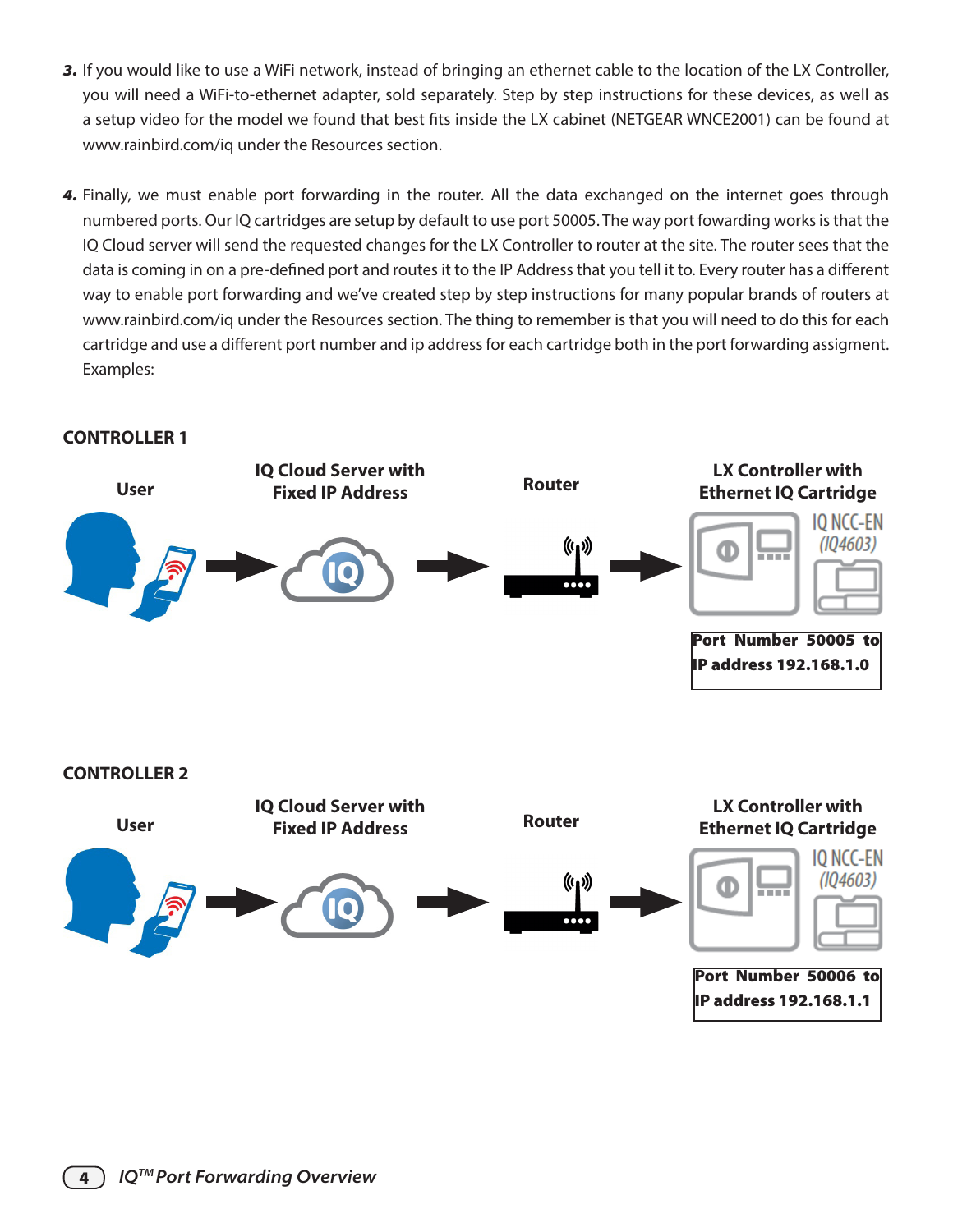- *3.* If you would like to use a WiFi network, instead of bringing an ethernet cable to the location of the LX Controller, you will need a WiFi-to-ethernet adapter, sold separately. Step by step instructions for these devices, as well as a setup video for the model we found that best fits inside the LX cabinet (NETGEAR WNCE2001) can be found at www.rainbird.com/iq under the Resources section.
- *4.* Finally, we must enable port forwarding in the router. All the data exchanged on the internet goes through numbered ports. Our IQ cartridges are setup by default to use port 50005. The way port fowarding works is that the IQ Cloud server will send the requested changes for the LX Controller to router at the site. The router sees that the data is coming in on a pre-defined port and routes it to the IP Address that you tell it to. Every router has a different way to enable port forwarding and we've created step by step instructions for many popular brands of routers at www.rainbird.com/iq under the Resources section. The thing to remember is that you will need to do this for each cartridge and use a different port number and ip address for each cartridge both in the port forwarding assigment. Examples:

## **CONTROLLER 1**